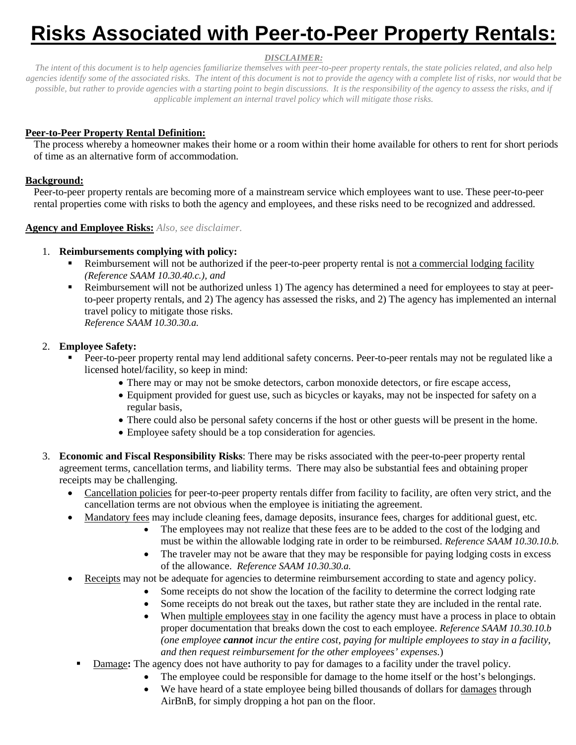# **Risks Associated with Peer-to-Peer Property Rentals:**

## *DISCLAIMER:*

*The intent of this document is to help agencies familiarize themselves with peer-to-peer property rentals, the state policies related, and also help agencies identify some of the associated risks. The intent of this document is not to provide the agency with a complete list of risks, nor would that be possible, but rather to provide agencies with a starting point to begin discussions. It is the responsibility of the agency to assess the risks, and if applicable implement an internal travel policy which will mitigate those risks.*

## **Peer-to-Peer Property Rental Definition:**

The process whereby a homeowner makes their home or a room within their home available for others to rent for short periods of time as an alternative form of accommodation.

## **Background:**

Peer-to-peer property rentals are becoming more of a mainstream service which employees want to use. These peer-to-peer rental properties come with risks to both the agency and employees, and these risks need to be recognized and addressed.

## **Agency and Employee Risks:** *Also, see disclaimer.*

# 1. **Reimbursements complying with policy:**

- Reimbursement will not be authorized if the peer-to-peer property rental is not a commercial lodging facility *(Reference SAAM 10.30.40.c.), and*
- Reimbursement will not be authorized unless 1) The agency has determined a need for employees to stay at peerto-peer property rentals, and 2) The agency has assessed the risks, and 2) The agency has implemented an internal travel policy to mitigate those risks. *Reference SAAM 10.30.30.a.*

# 2. **Employee Safety:**

- Peer-to-peer property rental may lend additional safety concerns. Peer-to-peer rentals may not be regulated like a licensed hotel/facility, so keep in mind:
	- There may or may not be smoke detectors, carbon monoxide detectors, or fire escape access,
	- Equipment provided for guest use, such as bicycles or kayaks, may not be inspected for safety on a regular basis,
	- There could also be personal safety concerns if the host or other guests will be present in the home.
	- Employee safety should be a top consideration for agencies.
- 3. **Economic and Fiscal Responsibility Risks**: There may be risks associated with the peer-to-peer property rental agreement terms, cancellation terms, and liability terms. There may also be substantial fees and obtaining proper receipts may be challenging.
	- Cancellation policies for peer-to-peer property rentals differ from facility to facility, are often very strict, and the cancellation terms are not obvious when the employee is initiating the agreement.
	- Mandatory fees may include cleaning fees, damage deposits, insurance fees, charges for additional guest, etc.
		- The employees may not realize that these fees are to be added to the cost of the lodging and must be within the allowable lodging rate in order to be reimbursed. *Reference SAAM 10.30.10.b.*
		- The traveler may not be aware that they may be responsible for paying lodging costs in excess of the allowance. *Reference SAAM 10.30.30.a.*
	- Receipts may not be adequate for agencies to determine reimbursement according to state and agency policy.
		- Some receipts do not show the location of the facility to determine the correct lodging rate
		- Some receipts do not break out the taxes, but rather state they are included in the rental rate.
		- When multiple employees stay in one facility the agency must have a process in place to obtain proper documentation that breaks down the cost to each employee. *Reference SAAM 10.30.10.b (one employee cannot incur the entire cost, paying for multiple employees to stay in a facility, and then request reimbursement for the other employees' expenses.*)
		- Damage**:** The agency does not have authority to pay for damages to a facility under the travel policy.
			- The employee could be responsible for damage to the home itself or the host's belongings.
			- We have heard of a state employee being billed thousands of dollars for damages through AirBnB, for simply dropping a hot pan on the floor.